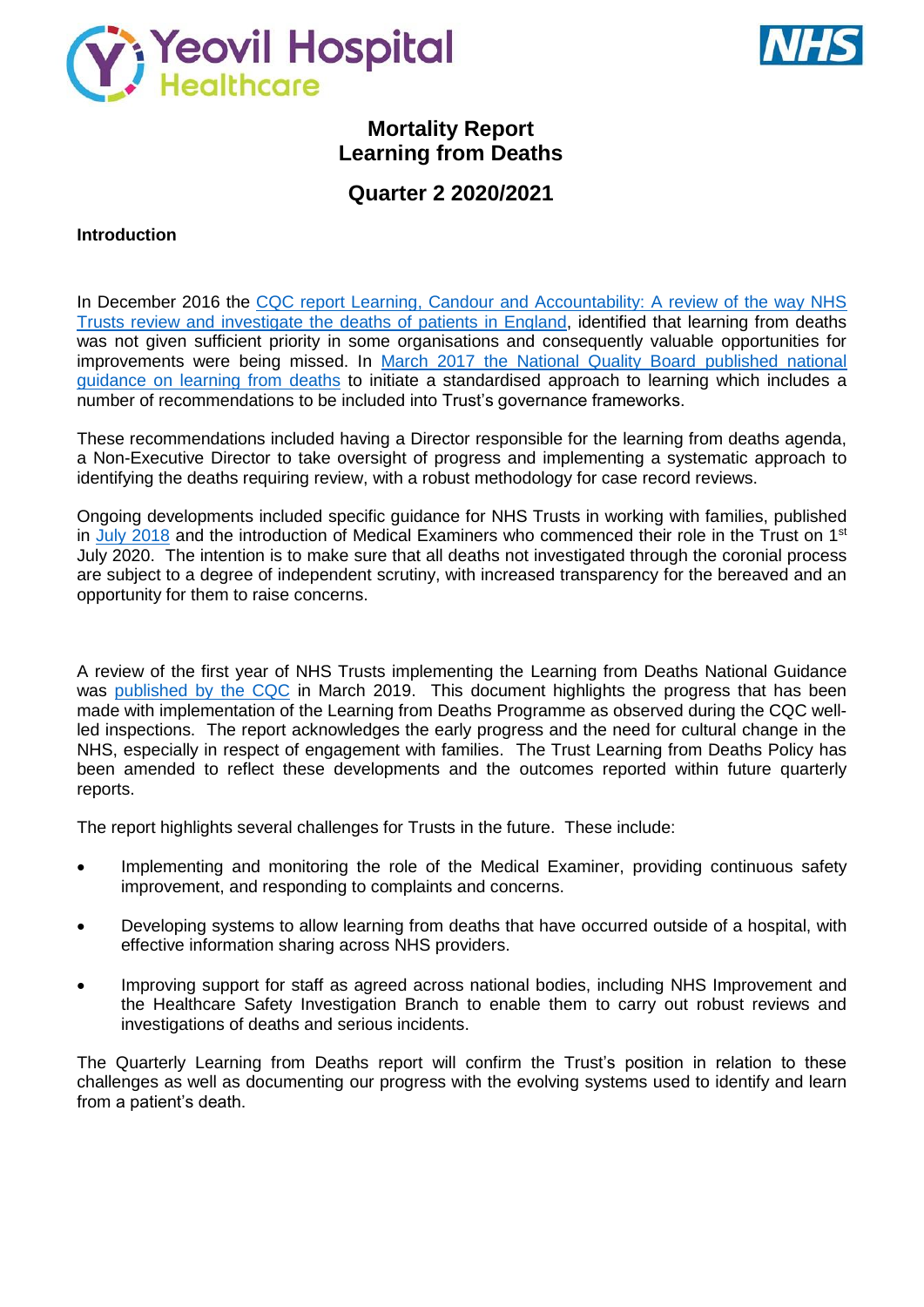



# **Mortality Report Learning from Deaths**

# **Quarter 2 2020/2021**

## **Introduction**

In December 2016 the CQC report Learning, Candour and Accountability: A review of the way NHS [Trusts review and investigate the](https://www.cqc.org.uk/sites/default/files/20161212-learning-candour-accountability-summary.pdf) deaths of patients in England, identified that learning from deaths was not given sufficient priority in some organisations and consequently valuable opportunities for improvements were being missed. In [March 2017 the National Quality Board published national](https://www.england.nhs.uk/wp-content/uploads/2017/03/nqb-national-guidance-learning-from-deaths.pdf)  [guidance on learning from deaths](https://www.england.nhs.uk/wp-content/uploads/2017/03/nqb-national-guidance-learning-from-deaths.pdf) to initiate a standardised approach to learning which includes a number of recommendations to be included into Trust's governance frameworks.

These recommendations included having a Director responsible for the learning from deaths agenda, a Non-Executive Director to take oversight of progress and implementing a systematic approach to identifying the deaths requiring review, with a robust methodology for case record reviews.

Ongoing developments included specific guidance for NHS Trusts in working with families, published in July [2018](https://www.england.nhs.uk/wp-content/uploads/2018/08/learning-from-deaths-working-with-families-v2.pdf) and the introduction of Medical Examiners who commenced their role in the Trust on 1<sup>st</sup> July 2020. The intention is to make sure that all deaths not investigated through the coronial process are subject to a degree of independent scrutiny, with increased transparency for the bereaved and an opportunity for them to raise concerns.

A review of the first year of NHS Trusts implementing the Learning from Deaths National Guidance was [published by the CQC](https://www.cqc.org.uk/publications/themed-work/learning-deaths) in March 2019. This document highlights the progress that has been made with implementation of the Learning from Deaths Programme as observed during the CQC wellled inspections. The report acknowledges the early progress and the need for cultural change in the NHS, especially in respect of engagement with families. The Trust Learning from Deaths Policy has been amended to reflect these developments and the outcomes reported within future quarterly reports.

The report highlights several challenges for Trusts in the future. These include:

- Implementing and monitoring the role of the Medical Examiner, providing continuous safety improvement, and responding to complaints and concerns.
- Developing systems to allow learning from deaths that have occurred outside of a hospital, with effective information sharing across NHS providers.
- Improving support for staff as agreed across national bodies, including NHS Improvement and the Healthcare Safety Investigation Branch to enable them to carry out robust reviews and investigations of deaths and serious incidents.

The Quarterly Learning from Deaths report will confirm the Trust's position in relation to these challenges as well as documenting our progress with the evolving systems used to identify and learn from a patient's death.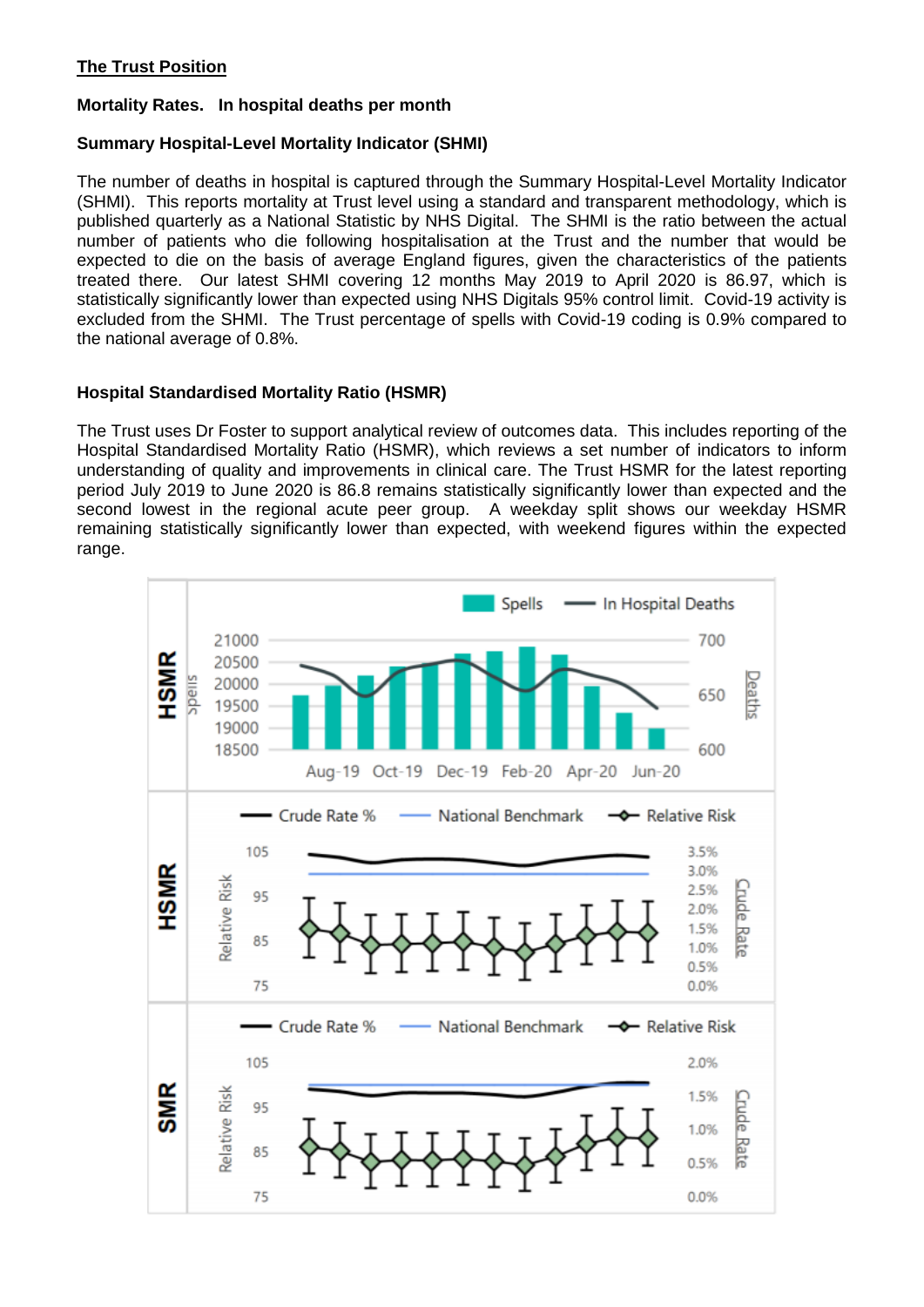## **The Trust Position**

## **Mortality Rates. In hospital deaths per month**

## **Summary Hospital-Level Mortality Indicator (SHMI)**

The number of deaths in hospital is captured through the Summary Hospital-Level Mortality Indicator (SHMI). This reports mortality at Trust level using a standard and transparent methodology, which is published quarterly as a National Statistic by NHS Digital. The SHMI is the ratio between the actual number of patients who die following hospitalisation at the Trust and the number that would be expected to die on the basis of average England figures, given the characteristics of the patients treated there. Our latest SHMI covering 12 months May 2019 to April 2020 is 86.97, which is statistically significantly lower than expected using NHS Digitals 95% control limit. Covid-19 activity is excluded from the SHMI. The Trust percentage of spells with Covid-19 coding is 0.9% compared to the national average of 0.8%.

## **Hospital Standardised Mortality Ratio (HSMR)**

The Trust uses Dr Foster to support analytical review of outcomes data. This includes reporting of the Hospital Standardised Mortality Ratio (HSMR), which reviews a set number of indicators to inform understanding of quality and improvements in clinical care. The Trust HSMR for the latest reporting period July 2019 to June 2020 is 86.8 remains statistically significantly lower than expected and the second lowest in the regional acute peer group. A weekday split shows our weekday HSMR remaining statistically significantly lower than expected, with weekend figures within the expected range.

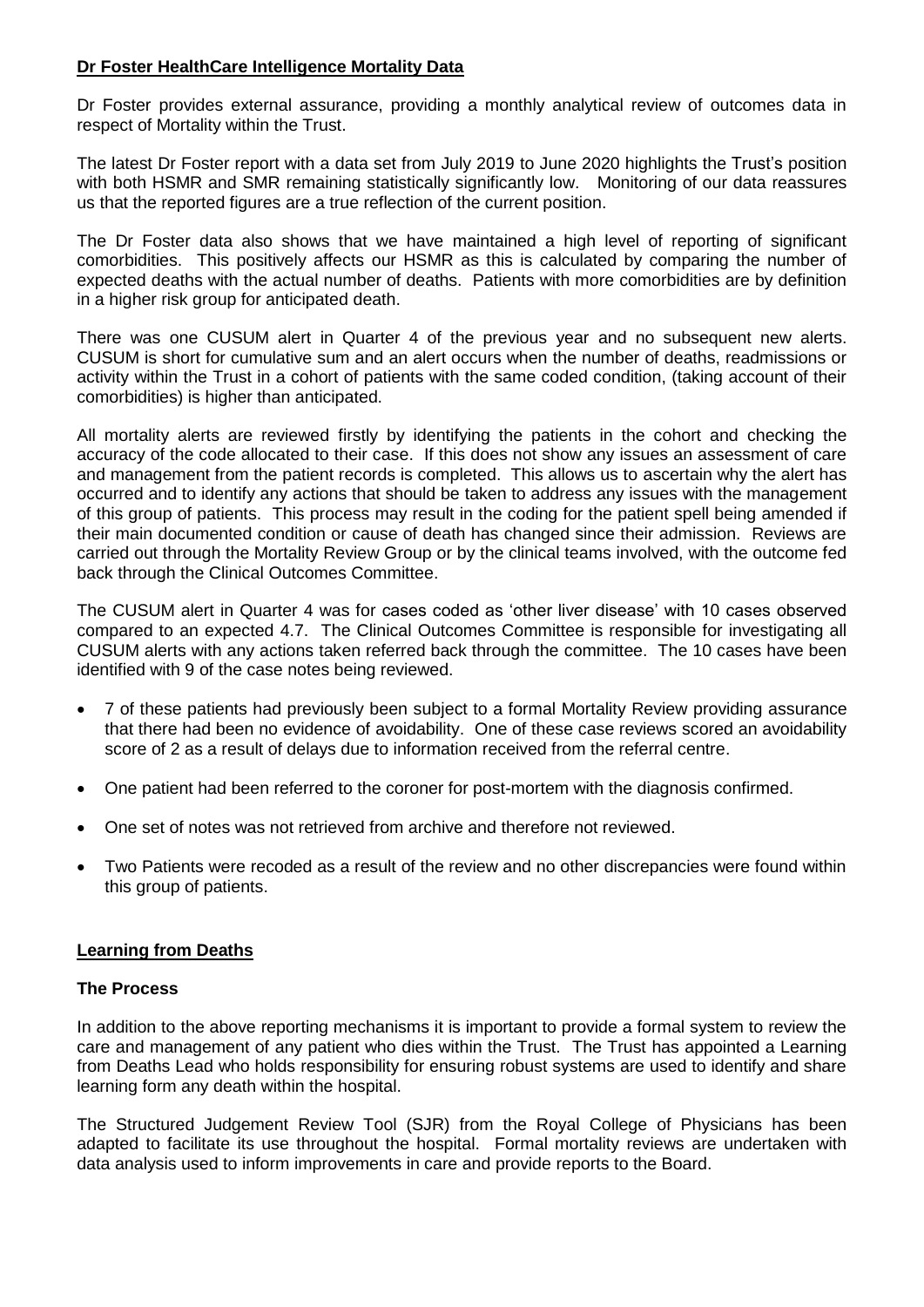## **Dr Foster HealthCare Intelligence Mortality Data**

Dr Foster provides external assurance, providing a monthly analytical review of outcomes data in respect of Mortality within the Trust.

The latest Dr Foster report with a data set from July 2019 to June 2020 highlights the Trust's position with both HSMR and SMR remaining statistically significantly low. Monitoring of our data reassures us that the reported figures are a true reflection of the current position.

The Dr Foster data also shows that we have maintained a high level of reporting of significant comorbidities. This positively affects our HSMR as this is calculated by comparing the number of expected deaths with the actual number of deaths. Patients with more comorbidities are by definition in a higher risk group for anticipated death.

There was one CUSUM alert in Quarter 4 of the previous year and no subsequent new alerts. CUSUM is short for cumulative sum and an alert occurs when the number of deaths, readmissions or activity within the Trust in a cohort of patients with the same coded condition, (taking account of their comorbidities) is higher than anticipated.

All mortality alerts are reviewed firstly by identifying the patients in the cohort and checking the accuracy of the code allocated to their case. If this does not show any issues an assessment of care and management from the patient records is completed. This allows us to ascertain why the alert has occurred and to identify any actions that should be taken to address any issues with the management of this group of patients. This process may result in the coding for the patient spell being amended if their main documented condition or cause of death has changed since their admission. Reviews are carried out through the Mortality Review Group or by the clinical teams involved, with the outcome fed back through the Clinical Outcomes Committee.

The CUSUM alert in Quarter 4 was for cases coded as 'other liver disease' with 10 cases observed compared to an expected 4.7. The Clinical Outcomes Committee is responsible for investigating all CUSUM alerts with any actions taken referred back through the committee. The 10 cases have been identified with 9 of the case notes being reviewed.

- 7 of these patients had previously been subject to a formal Mortality Review providing assurance that there had been no evidence of avoidability. One of these case reviews scored an avoidability score of 2 as a result of delays due to information received from the referral centre.
- One patient had been referred to the coroner for post-mortem with the diagnosis confirmed.
- One set of notes was not retrieved from archive and therefore not reviewed.
- Two Patients were recoded as a result of the review and no other discrepancies were found within this group of patients.

## **Learning from Deaths**

## **The Process**

In addition to the above reporting mechanisms it is important to provide a formal system to review the care and management of any patient who dies within the Trust. The Trust has appointed a Learning from Deaths Lead who holds responsibility for ensuring robust systems are used to identify and share learning form any death within the hospital.

The Structured Judgement Review Tool (SJR) from the Royal College of Physicians has been adapted to facilitate its use throughout the hospital. Formal mortality reviews are undertaken with data analysis used to inform improvements in care and provide reports to the Board.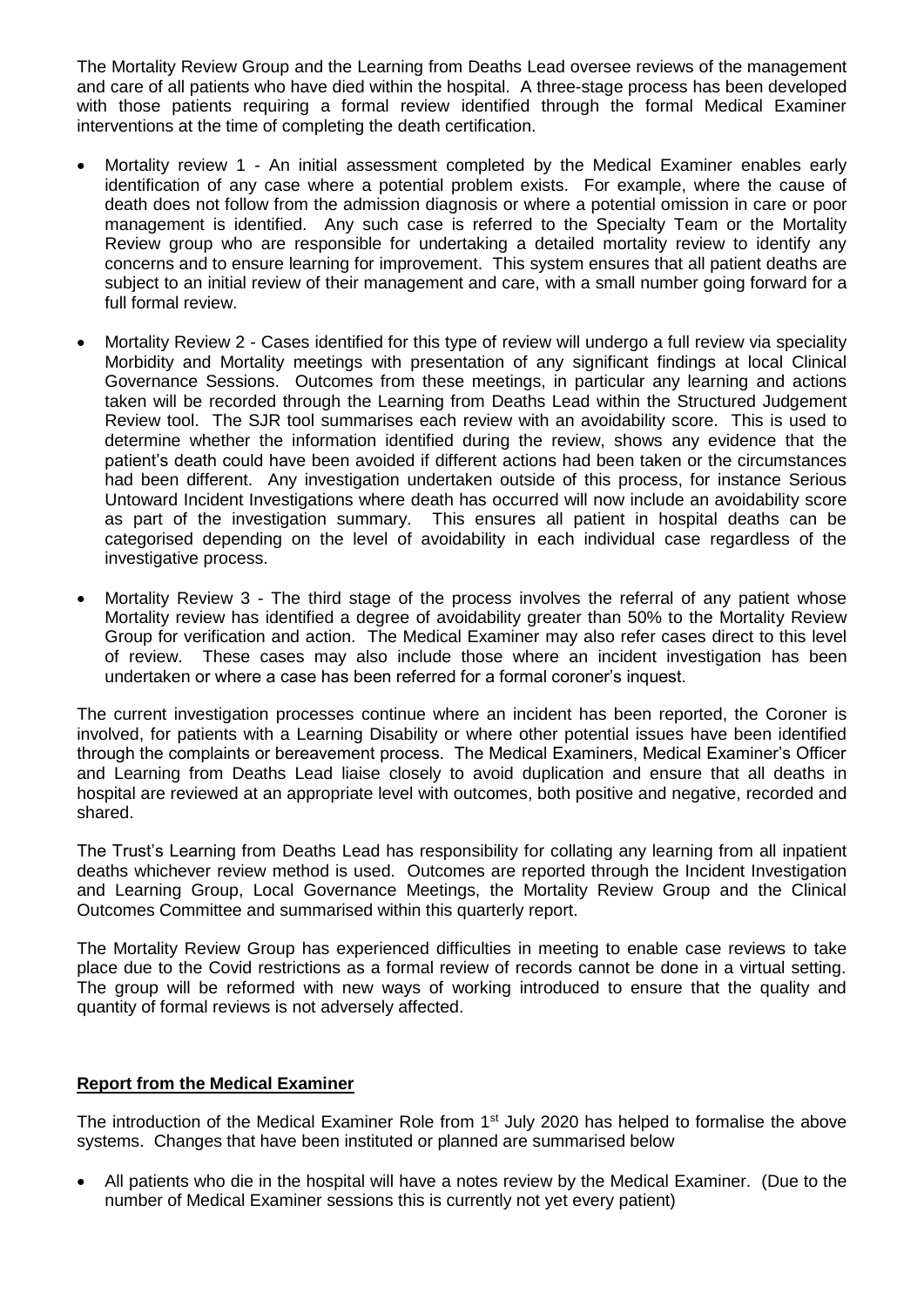The Mortality Review Group and the Learning from Deaths Lead oversee reviews of the management and care of all patients who have died within the hospital. A three-stage process has been developed with those patients requiring a formal review identified through the formal Medical Examiner interventions at the time of completing the death certification.

- Mortality review 1 An initial assessment completed by the Medical Examiner enables early identification of any case where a potential problem exists. For example, where the cause of death does not follow from the admission diagnosis or where a potential omission in care or poor management is identified. Any such case is referred to the Specialty Team or the Mortality Review group who are responsible for undertaking a detailed mortality review to identify any concerns and to ensure learning for improvement. This system ensures that all patient deaths are subject to an initial review of their management and care, with a small number going forward for a full formal review.
- Mortality Review 2 Cases identified for this type of review will undergo a full review via speciality Morbidity and Mortality meetings with presentation of any significant findings at local Clinical Governance Sessions. Outcomes from these meetings, in particular any learning and actions taken will be recorded through the Learning from Deaths Lead within the Structured Judgement Review tool. The SJR tool summarises each review with an avoidability score. This is used to determine whether the information identified during the review, shows any evidence that the patient's death could have been avoided if different actions had been taken or the circumstances had been different. Any investigation undertaken outside of this process, for instance Serious Untoward Incident Investigations where death has occurred will now include an avoidability score as part of the investigation summary. This ensures all patient in hospital deaths can be categorised depending on the level of avoidability in each individual case regardless of the investigative process.
- Mortality Review 3 The third stage of the process involves the referral of any patient whose Mortality review has identified a degree of avoidability greater than 50% to the Mortality Review Group for verification and action. The Medical Examiner may also refer cases direct to this level of review. These cases may also include those where an incident investigation has been undertaken or where a case has been referred for a formal coroner's inquest.

The current investigation processes continue where an incident has been reported, the Coroner is involved, for patients with a Learning Disability or where other potential issues have been identified through the complaints or bereavement process. The Medical Examiners, Medical Examiner's Officer and Learning from Deaths Lead liaise closely to avoid duplication and ensure that all deaths in hospital are reviewed at an appropriate level with outcomes, both positive and negative, recorded and shared.

The Trust's Learning from Deaths Lead has responsibility for collating any learning from all inpatient deaths whichever review method is used. Outcomes are reported through the Incident Investigation and Learning Group, Local Governance Meetings, the Mortality Review Group and the Clinical Outcomes Committee and summarised within this quarterly report.

The Mortality Review Group has experienced difficulties in meeting to enable case reviews to take place due to the Covid restrictions as a formal review of records cannot be done in a virtual setting. The group will be reformed with new ways of working introduced to ensure that the quality and quantity of formal reviews is not adversely affected.

## **Report from the Medical Examiner**

The introduction of the Medical Examiner Role from 1<sup>st</sup> July 2020 has helped to formalise the above systems. Changes that have been instituted or planned are summarised below

 All patients who die in the hospital will have a notes review by the Medical Examiner. (Due to the number of Medical Examiner sessions this is currently not yet every patient)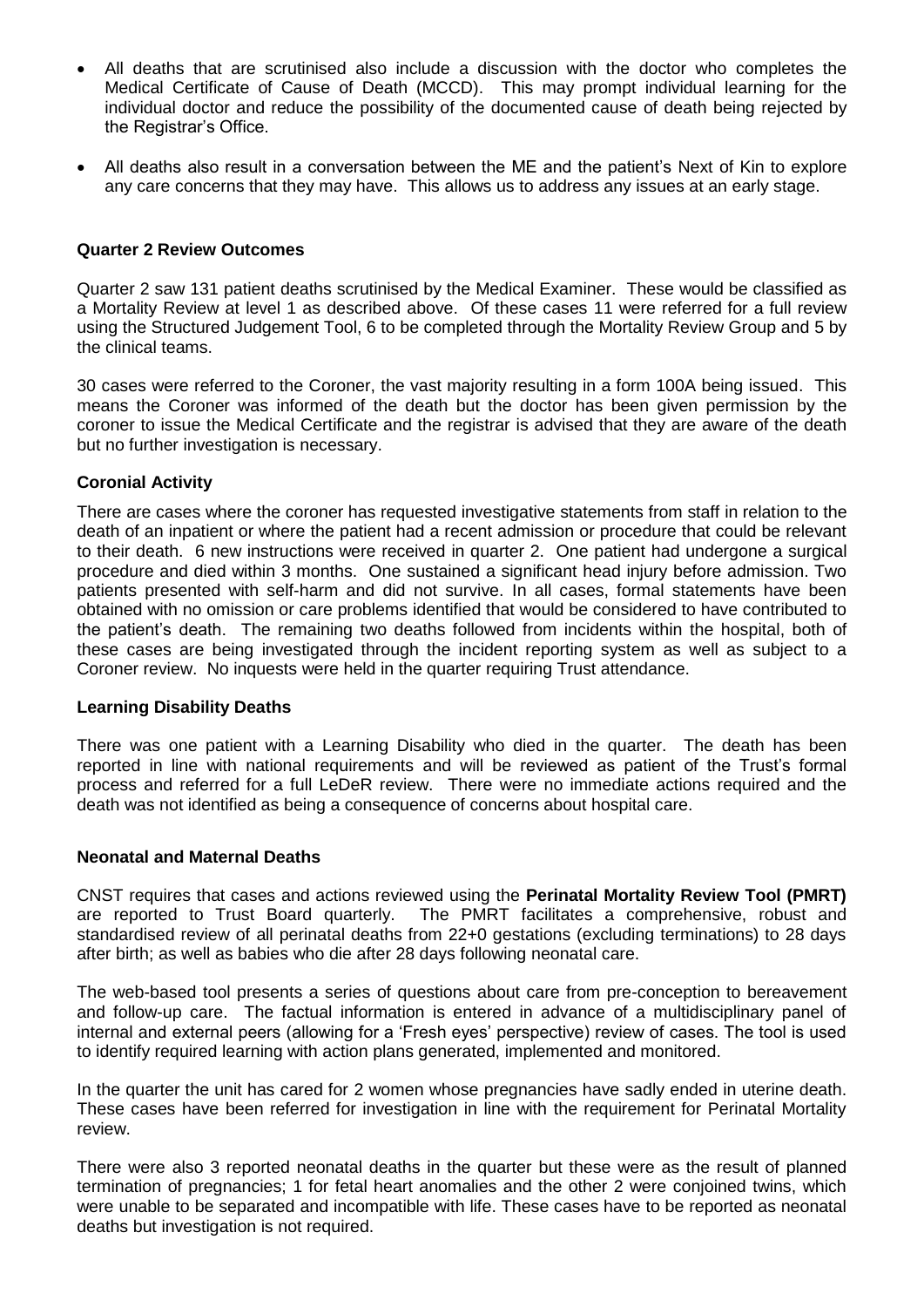- All deaths that are scrutinised also include a discussion with the doctor who completes the Medical Certificate of Cause of Death (MCCD). This may prompt individual learning for the individual doctor and reduce the possibility of the documented cause of death being rejected by the Registrar's Office.
- All deaths also result in a conversation between the ME and the patient's Next of Kin to explore any care concerns that they may have. This allows us to address any issues at an early stage.

### **Quarter 2 Review Outcomes**

Quarter 2 saw 131 patient deaths scrutinised by the Medical Examiner. These would be classified as a Mortality Review at level 1 as described above. Of these cases 11 were referred for a full review using the Structured Judgement Tool, 6 to be completed through the Mortality Review Group and 5 by the clinical teams.

30 cases were referred to the Coroner, the vast majority resulting in a form 100A being issued. This means the Coroner was informed of the death but the doctor has been given permission by the coroner to issue the Medical Certificate and the registrar is advised that they are aware of the death but no further investigation is necessary.

#### **Coronial Activity**

There are cases where the coroner has requested investigative statements from staff in relation to the death of an inpatient or where the patient had a recent admission or procedure that could be relevant to their death. 6 new instructions were received in quarter 2. One patient had undergone a surgical procedure and died within 3 months. One sustained a significant head injury before admission. Two patients presented with self-harm and did not survive. In all cases, formal statements have been obtained with no omission or care problems identified that would be considered to have contributed to the patient's death. The remaining two deaths followed from incidents within the hospital, both of these cases are being investigated through the incident reporting system as well as subject to a Coroner review. No inquests were held in the quarter requiring Trust attendance.

#### **Learning Disability Deaths**

There was one patient with a Learning Disability who died in the quarter. The death has been reported in line with national requirements and will be reviewed as patient of the Trust's formal process and referred for a full LeDeR review. There were no immediate actions required and the death was not identified as being a consequence of concerns about hospital care.

#### **Neonatal and Maternal Deaths**

CNST requires that cases and actions reviewed using the **Perinatal Mortality Review Tool (PMRT)** are reported to Trust Board quarterly. The PMRT facilitates a comprehensive, robust and standardised review of all perinatal deaths from 22+0 gestations (excluding terminations) to 28 days after birth; as well as babies who die after 28 days following neonatal care.

The web-based tool presents a series of questions about care from pre-conception to bereavement and follow-up care. The factual information is entered in advance of a multidisciplinary panel of internal and external peers (allowing for a 'Fresh eyes' perspective) review of cases. The tool is used to identify required learning with action plans generated, implemented and monitored.

In the quarter the unit has cared for 2 women whose pregnancies have sadly ended in uterine death. These cases have been referred for investigation in line with the requirement for Perinatal Mortality review.

There were also 3 reported neonatal deaths in the quarter but these were as the result of planned termination of pregnancies; 1 for fetal heart anomalies and the other 2 were conjoined twins, which were unable to be separated and incompatible with life. These cases have to be reported as neonatal deaths but investigation is not required.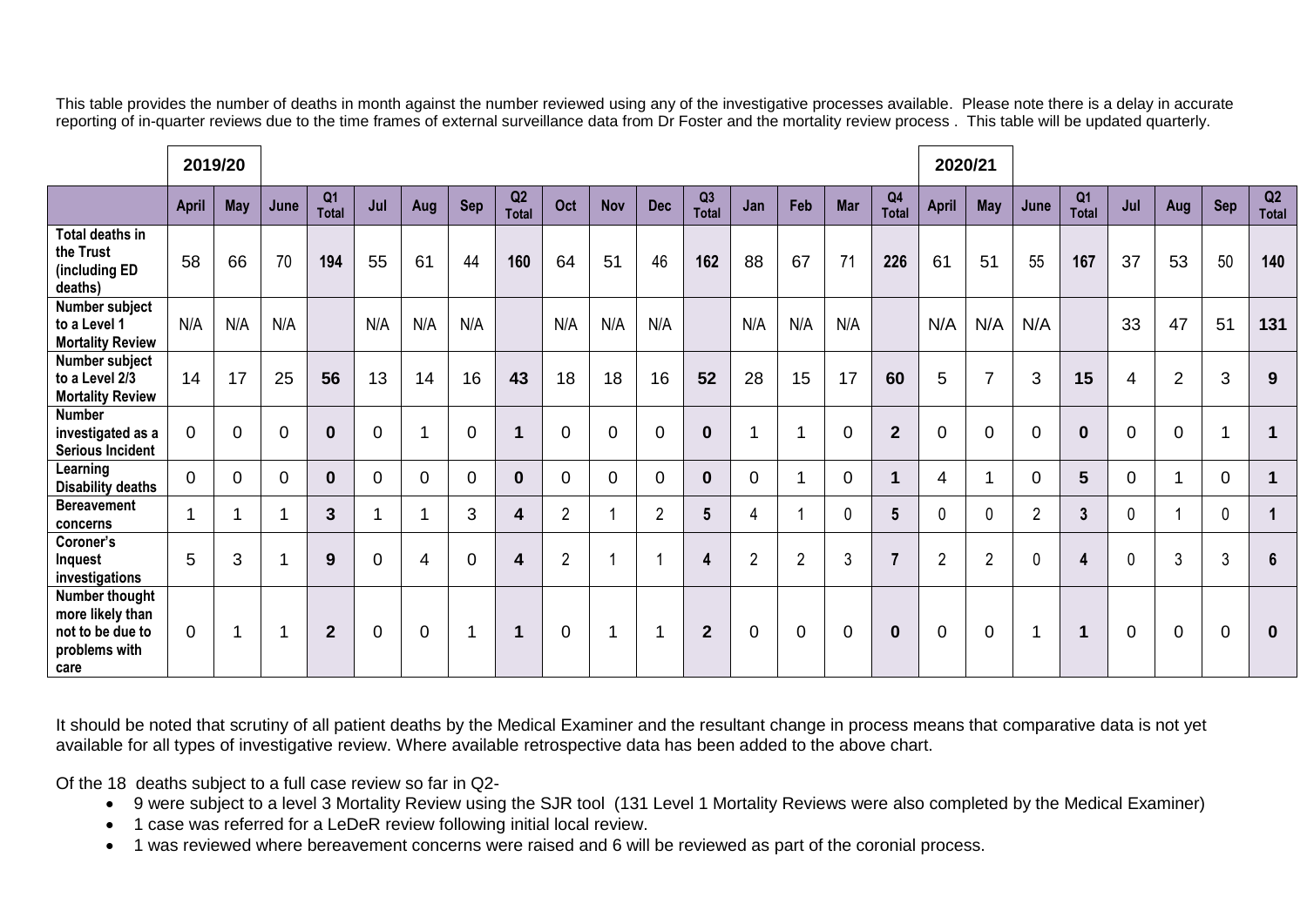This table provides the number of deaths in month against the number reviewed using any of the investigative processes available. Please note there is a delay in accurate reporting of in-quarter reviews due to the time frames of external surveillance data from Dr Foster and the mortality review process . This table will be updated quarterly.

|                                                                                 |                | 2019/20    |                         |                                |             |                |                |                         |                |                |                         |                    |                |                | 2020/21        |                                |                |                |                |                                |             |                |                |                |
|---------------------------------------------------------------------------------|----------------|------------|-------------------------|--------------------------------|-------------|----------------|----------------|-------------------------|----------------|----------------|-------------------------|--------------------|----------------|----------------|----------------|--------------------------------|----------------|----------------|----------------|--------------------------------|-------------|----------------|----------------|----------------|
|                                                                                 | <b>April</b>   | <b>May</b> | June                    | Q <sub>1</sub><br><b>Total</b> | Jul         | Aug            | Sep            | Q2<br><b>Total</b>      | Oct            | <b>Nov</b>     | <b>Dec</b>              | Q3<br><b>Total</b> | Jan            | Feb            | <b>Mar</b>     | Q <sub>4</sub><br><b>Total</b> | <b>April</b>   | <b>May</b>     | June           | Q <sub>1</sub><br><b>Total</b> | Jul         | Aug            | <b>Sep</b>     | Q2<br>Total    |
| Total deaths in<br>the Trust<br>(including ED<br>deaths)                        | 58             | 66         | 70                      | 194                            | 55          | 61             | 44             | 160                     | 64             | 51             | 46                      | 162                | 88             | 67             | 71             | 226                            | 61             | 51             | 55             | 167                            | 37          | 53             | 50             | 140            |
| Number subject<br>to a Level 1<br><b>Mortality Review</b>                       | N/A            | N/A        | N/A                     |                                | N/A         | N/A            | N/A            |                         | N/A            | N/A            | N/A                     |                    | N/A            | N/A            | N/A            |                                | N/A            | N/A            | N/A            |                                | 33          | 47             | 51             | 131            |
| Number subject<br>to a Level 2/3<br><b>Mortality Review</b>                     | 14             | 17         | 25                      | 56                             | 13          | 14             | 16             | 43                      | 18             | 18             | 16                      | 52                 | 28             | 15             | 17             | 60                             | 5              | $\overline{7}$ | 3              | 15                             | 4           | $\overline{2}$ | 3              | 9              |
| <b>Number</b><br>investigated as a<br><b>Serious Incident</b>                   | $\overline{0}$ | $\Omega$   | $\overline{0}$          | $\bf{0}$                       | $\mathbf 0$ |                | $\Omega$       | $\mathbf 1$             | $\overline{0}$ | 0              | $\Omega$                | $\bf{0}$           | 1              | 1              | 0              | $\overline{2}$                 | $\overline{0}$ | $\overline{0}$ | $\Omega$       | $\boldsymbol{0}$               | $\mathbf 0$ | $\overline{0}$ | ٠              | $\mathbf 1$    |
| Learning<br><b>Disability deaths</b>                                            | $\overline{0}$ | 0          | $\overline{0}$          | $\bf{0}$                       | $\Omega$    | $\mathbf 0$    | $\mathbf 0$    | $\mathbf 0$             | $\mathbf 0$    | $\overline{0}$ | $\Omega$                | $\bf{0}$           | $\mathbf 0$    | -1             | $\overline{0}$ | 4                              | 4              |                | $\mathbf 0$    | $5\phantom{1}$                 | $\mathbf 0$ | 1              | $\overline{0}$ | $\mathbf 1$    |
| <b>Bereavement</b><br>concerns                                                  |                |            | 4                       | 3                              |             |                | 3              | $\overline{\mathbf{4}}$ | $\overline{2}$ |                | $\overline{2}$          | 5                  | 4              |                | 0              | 5                              | $\mathbf 0$    | $\mathbf 0$    | $\overline{2}$ | $\overline{3}$                 | 0           | 1              | $\mathbf 0$    |                |
| Coroner's<br>Inquest<br>investigations                                          | 5              | 3          | $\overline{\mathbf{A}}$ | 9                              | $\Omega$    | $\overline{4}$ | $\overline{0}$ | $\overline{\mathbf{4}}$ | $\overline{2}$ |                |                         | 4                  | $\overline{2}$ | $\overline{2}$ | 3              | $\overline{\phantom{a}}$       | $\overline{2}$ | $\overline{2}$ | $\mathbf{0}$   | 4                              | 0           | 3              | 3              | $6\phantom{1}$ |
| Number thought<br>more likely than<br>not to be due to<br>problems with<br>care | $\Omega$       |            | 1                       | $\overline{2}$                 | 0           | $\overline{0}$ | 1              | $\mathbf 1$             | $\mathbf 0$    |                | $\overline{\mathbf{A}}$ | $\overline{2}$     | $\mathbf 0$    | $\mathbf 0$    | 0              | $\mathbf 0$                    | $\overline{0}$ | $\mathbf 0$    | 1              | $\mathbf 1$                    | $\mathbf 0$ | $\overline{0}$ | 0              | $\mathbf 0$    |

It should be noted that scrutiny of all patient deaths by the Medical Examiner and the resultant change in process means that comparative data is not yet available for all types of investigative review. Where available retrospective data has been added to the above chart.

Of the 18 deaths subject to a full case review so far in Q2-

- 9 were subject to a level 3 Mortality Review using the SJR tool (131 Level 1 Mortality Reviews were also completed by the Medical Examiner)
- 1 case was referred for a LeDeR review following initial local review.
- 1 was reviewed where bereavement concerns were raised and 6 will be reviewed as part of the coronial process.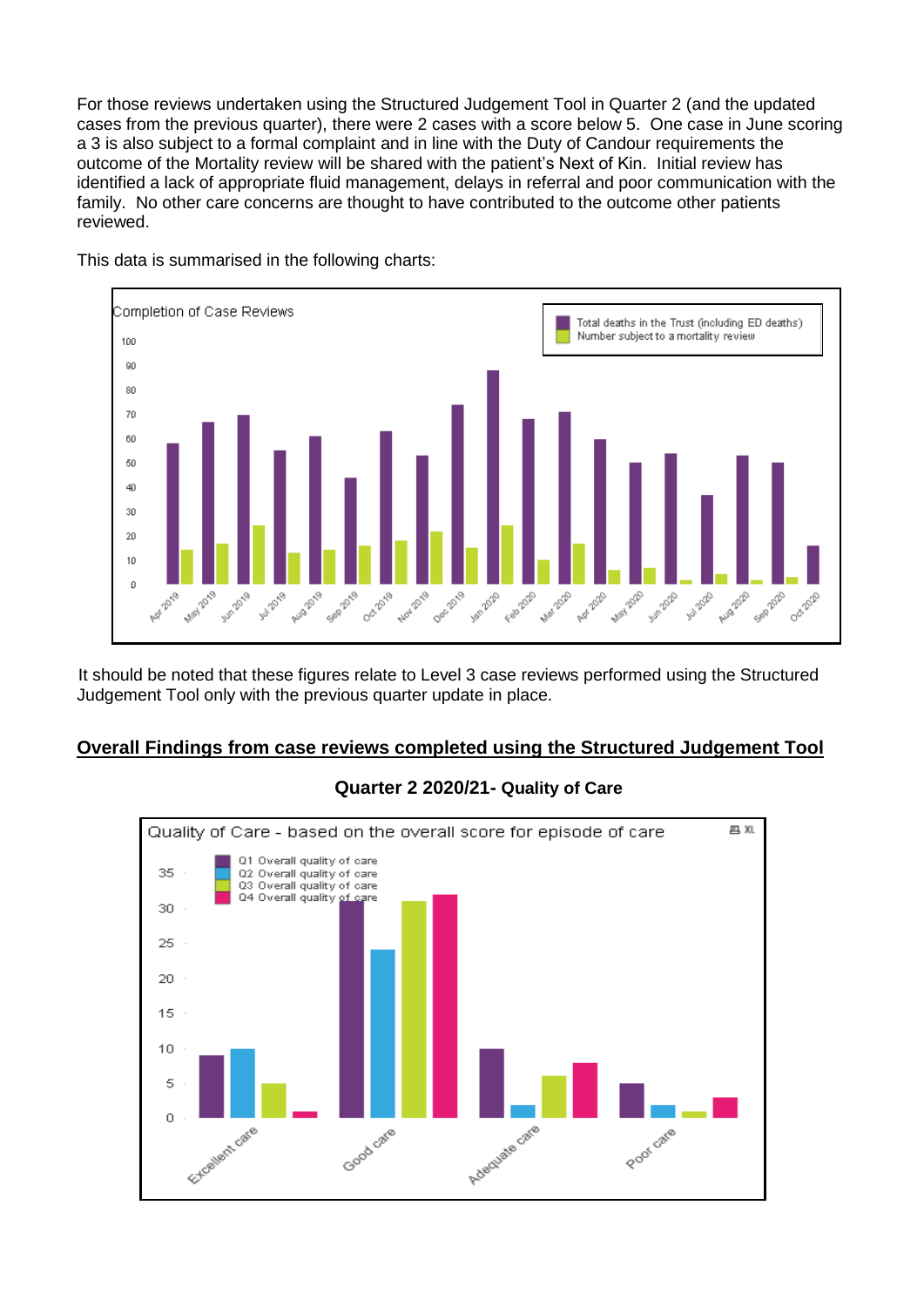For those reviews undertaken using the Structured Judgement Tool in Quarter 2 (and the updated cases from the previous quarter), there were 2 cases with a score below 5. One case in June scoring a 3 is also subject to a formal complaint and in line with the Duty of Candour requirements the outcome of the Mortality review will be shared with the patient's Next of Kin. Initial review has identified a lack of appropriate fluid management, delays in referral and poor communication with the family. No other care concerns are thought to have contributed to the outcome other patients reviewed.



This data is summarised in the following charts:

It should be noted that these figures relate to Level 3 case reviews performed using the Structured Judgement Tool only with the previous quarter update in place.

## **Overall Findings from case reviews completed using the Structured Judgement Tool**



## **Quarter 2 2020/21- Quality of Care**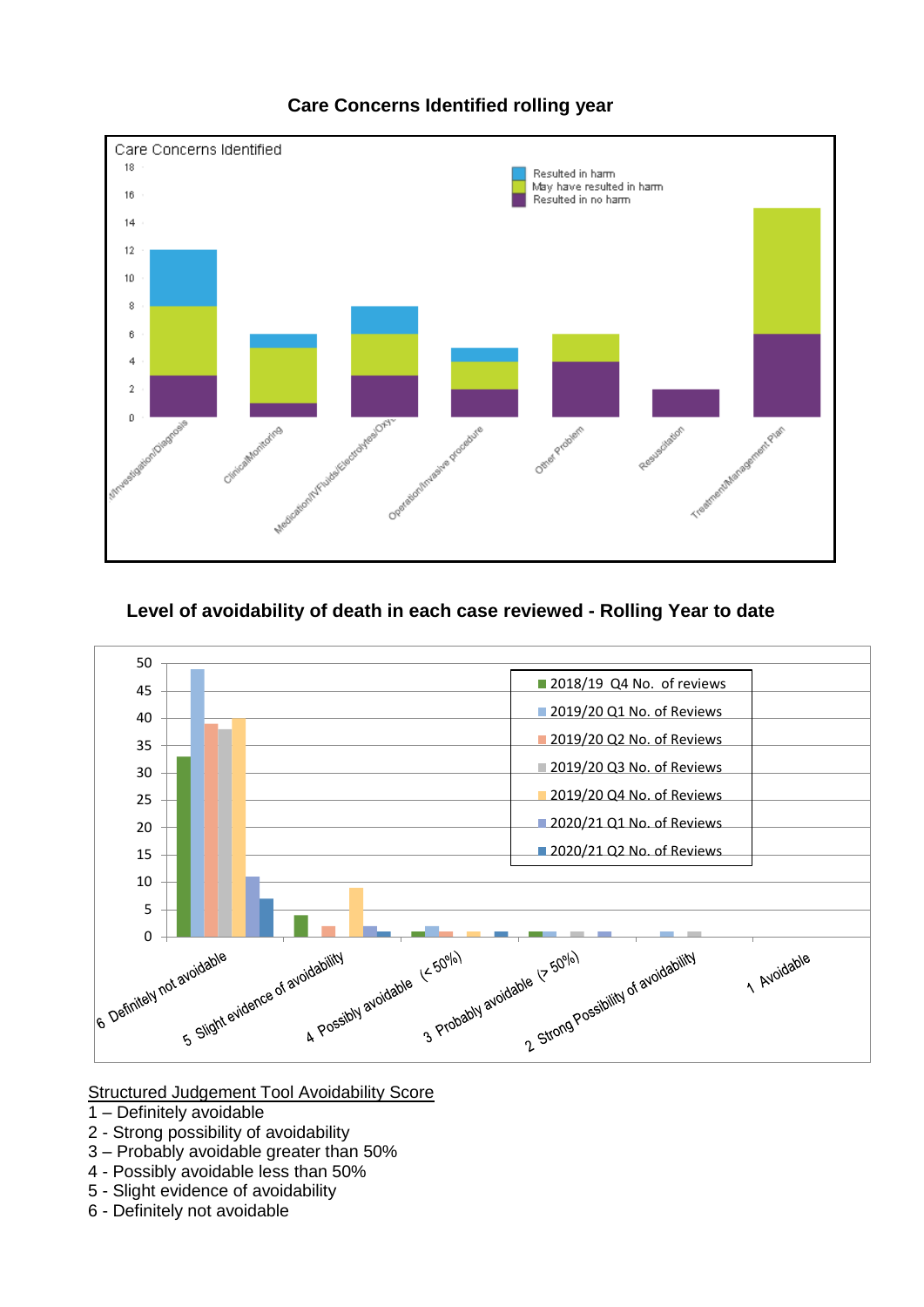

# **Care Concerns Identified rolling year**

## **Level of avoidability of death in each case reviewed - Rolling Year to date**



## Structured Judgement Tool Avoidability Score

- 1 Definitely avoidable
- 2 Strong possibility of avoidability
- 3 Probably avoidable greater than 50%
- 4 Possibly avoidable less than 50%
- 5 Slight evidence of avoidability
- 6 Definitely not avoidable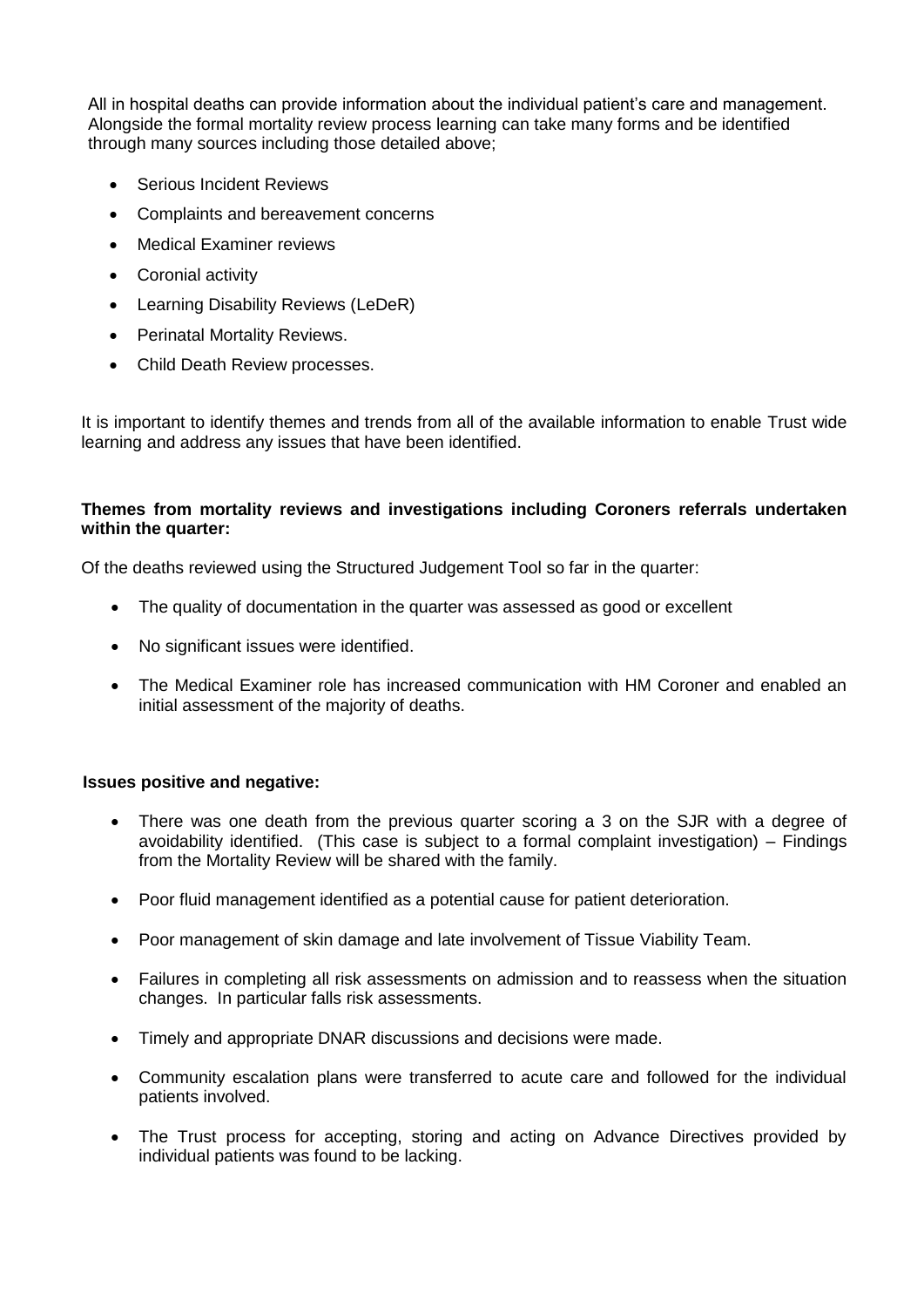All in hospital deaths can provide information about the individual patient's care and management. Alongside the formal mortality review process learning can take many forms and be identified through many sources including those detailed above;

- Serious Incident Reviews
- Complaints and bereavement concerns
- Medical Examiner reviews
- Coronial activity
- Learning Disability Reviews (LeDeR)
- Perinatal Mortality Reviews.
- Child Death Review processes.

It is important to identify themes and trends from all of the available information to enable Trust wide learning and address any issues that have been identified.

## **Themes from mortality reviews and investigations including Coroners referrals undertaken within the quarter:**

Of the deaths reviewed using the Structured Judgement Tool so far in the quarter:

- The quality of documentation in the quarter was assessed as good or excellent
- No significant issues were identified.
- The Medical Examiner role has increased communication with HM Coroner and enabled an initial assessment of the majority of deaths.

## **Issues positive and negative:**

- There was one death from the previous quarter scoring a 3 on the SJR with a degree of avoidability identified. (This case is subject to a formal complaint investigation) – Findings from the Mortality Review will be shared with the family.
- Poor fluid management identified as a potential cause for patient deterioration.
- Poor management of skin damage and late involvement of Tissue Viability Team.
- Failures in completing all risk assessments on admission and to reassess when the situation changes. In particular falls risk assessments.
- Timely and appropriate DNAR discussions and decisions were made.
- Community escalation plans were transferred to acute care and followed for the individual patients involved.
- The Trust process for accepting, storing and acting on Advance Directives provided by individual patients was found to be lacking.